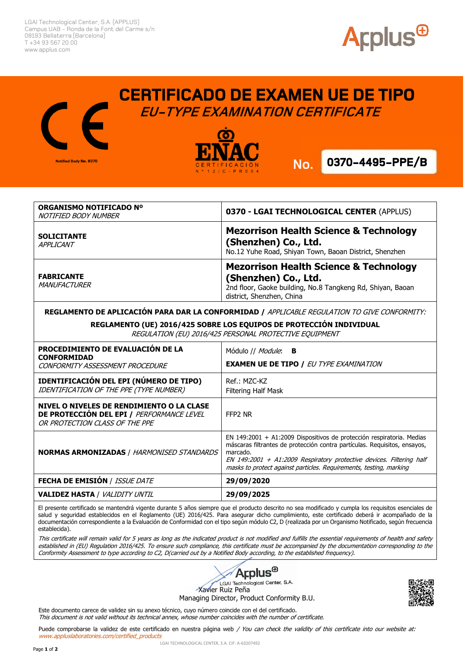LGAI Technological Center, S.A. (APPLUS) Campus UAB - Ronda de la Font del Carme s/n 08193 Bellaterra (Barcelona) T +34 93 567 20 00 www.applus.com

Notified Body No. 0370



## **CERTIFICADO DE EXAMEN UE DE TIPO EU-TYPE EXAMINATION CERTIFICATE**

**No. No.**

**.**



**0370-4495-PPE/B** 

| ORGANISMO NOTIFICADO Nº<br>NOTIFIED BODY NUMBER                                                     | 0370 - LGAI TECHNOLOGICAL CENTER (APPLUS)                                                                                                                            |
|-----------------------------------------------------------------------------------------------------|----------------------------------------------------------------------------------------------------------------------------------------------------------------------|
| <b>SOLICITANTE</b><br>APPLICANT                                                                     | <b>Mezorrison Health Science &amp; Technology</b><br>(Shenzhen) Co., Ltd.<br>No.12 Yuhe Road, Shiyan Town, Baoan District, Shenzhen                                  |
| <b>FABRICANTE</b><br><i>MANUFACTURER</i>                                                            | <b>Mezorrison Health Science &amp; Technology</b><br>(Shenzhen) Co., Ltd.<br>2nd floor, Gaoke building, No.8 Tangkeng Rd, Shiyan, Baoan<br>district, Shenzhen, China |
| <b>REGLAMENTO DE APLICACIÓN PARA DAR LA CONFORMIDAD / APPLICABLE REGULATION TO GIVE CONFORMITY:</b> |                                                                                                                                                                      |

**REGLAMENTO DE APLICACIÓN PARA DAR LA CONFORMIDAD /** APPLICABLE REGULATION TO GIVE CONFORMITY:

**REGLAMENTO (UE) 2016/425 SOBRE LOS EQUIPOS DE PROTECCIÓN INDIVIDUAL** REGULATION (EU) 2016/425 PERSONAL PROTECTIVE EQUIPMENT

| PROCEDIMIENTO DE EVALUACIÓN DE LA<br><b>CONFORMIDAD</b><br>CONFORMITY ASSESSMENT PROCEDURE                               | Módulo // <i>Module</i> : <b>B</b><br><b>EXAMEN UE DE TIPO / EU TYPE EXAMINATION</b>                                                                                                                                                                                                                         |
|--------------------------------------------------------------------------------------------------------------------------|--------------------------------------------------------------------------------------------------------------------------------------------------------------------------------------------------------------------------------------------------------------------------------------------------------------|
| <b>IDENTIFICACIÓN DEL EPI (NÚMERO DE TIPO)</b><br>IDENTIFICATION OF THE PPE (TYPE NUMBER)                                | Ref.: MZC-KZ<br>Filtering Half Mask                                                                                                                                                                                                                                                                          |
| NIVEL O NIVELES DE RENDIMIENTO O LA CLASE<br>DE PROTECCIÓN DEL EPI / PERFORMANCE LEVEL<br>OR PROTECTION CLASS OF THE PPE | FFP2 NR                                                                                                                                                                                                                                                                                                      |
| <b>NORMAS ARMONIZADAS / HARMONISED STANDARDS</b>                                                                         | EN 149:2001 + A1:2009 Dispositivos de protección respiratoria. Medias<br>máscaras filtrantes de protección contra partículas. Requisitos, ensayos,<br>marcado.<br>EN 149:2001 + A1:2009 Respiratory protective devices. Filtering half<br>masks to protect against particles. Requirements, testing, marking |
| <b>FECHA DE EMISIÓN / ISSUE DATE</b>                                                                                     | 29/09/2020                                                                                                                                                                                                                                                                                                   |
| <b>VALIDEZ HASTA / <i>VALIDITY UNTIL</i></b>                                                                             | 29/09/2025                                                                                                                                                                                                                                                                                                   |

El presente certificado se mantendrá vigente durante 5 años siempre que el producto descrito no sea modificado y cumpla los requisitos esenciales de salud y seguridad establecidos en el Reglamento (UE) 2016/425. Para asegurar dicho cumplimiento, este certificado deberá ir acompañado de la documentación correspondiente a la Evaluación de Conformidad con el tipo según módulo C2, D (realizada por un Organismo Notificado, según frecuencia establecida).

This certificate will remain valid for 5 years as long as the indicated product is not modified and fulfills the essential requirements of health and safety established in (EU) Regulation 2016/425. To ensure such compliance, this certificate must be accompanied by the documentation corresponding to the Conformity Assessment to type according to C2, D(carried out by a Notified Body according, to the established frequency).



Managing Director, Product Conformity B.U.

Este documento carece de validez sin su anexo técnico, cuyo número coincide con el del certificado. This document is not valid without its technical annex, whose number coincides with the number of certificate.



Puede comprobarse la validez de este certificado en nuestra página web / You can check the validity of this certificate into our website at: www.appluslaboratories.com/certified\_products